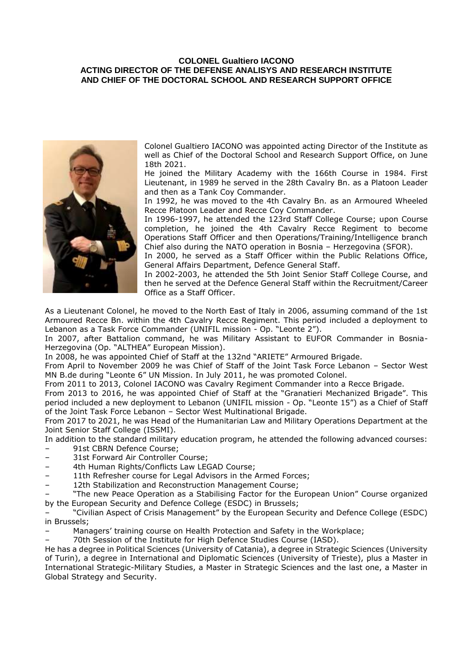## **COLONEL Gualtiero IACONO ACTING DIRECTOR OF THE DEFENSE ANALISYS AND RESEARCH INSTITUTE AND CHIEF OF THE DOCTORAL SCHOOL AND RESEARCH SUPPORT OFFICE**



Colonel Gualtiero IACONO was appointed acting Director of the Institute as well as Chief of the Doctoral School and Research Support Office, on June 18th 2021.

He joined the Military Academy with the 166th Course in 1984. First Lieutenant, in 1989 he served in the 28th Cavalry Bn. as a Platoon Leader and then as a Tank Coy Commander.

In 1992, he was moved to the 4th Cavalry Bn. as an Armoured Wheeled Recce Platoon Leader and Recce Coy Commander.

In 1996-1997, he attended the 123rd Staff College Course; upon Course completion, he joined the 4th Cavalry Recce Regiment to become Operations Staff Officer and then Operations/Training/Intelligence branch Chief also during the NATO operation in Bosnia – Herzegovina (SFOR).

In 2000, he served as a Staff Officer within the Public Relations Office, General Affairs Department, Defence General Staff.

In 2002-2003, he attended the 5th Joint Senior Staff College Course, and then he served at the Defence General Staff within the Recruitment/Career Office as a Staff Officer.

As a Lieutenant Colonel, he moved to the North East of Italy in 2006, assuming command of the 1st Armoured Recce Bn. within the 4th Cavalry Recce Regiment. This period included a deployment to Lebanon as a Task Force Commander (UNIFIL mission - Op. "Leonte 2").

In 2007, after Battalion command, he was Military Assistant to EUFOR Commander in Bosnia-Herzegovina (Op. "ALTHEA" European Mission).

In 2008, he was appointed Chief of Staff at the 132nd "ARIETE" Armoured Brigade.

From April to November 2009 he was Chief of Staff of the Joint Task Force Lebanon – Sector West MN B.de during "Leonte 6" UN Mission. In July 2011, he was promoted Colonel.

From 2011 to 2013, Colonel IACONO was Cavalry Regiment Commander into a Recce Brigade.

From 2013 to 2016, he was appointed Chief of Staff at the "Granatieri Mechanized Brigade". This period included a new deployment to Lebanon (UNIFIL mission - Op. "Leonte 15") as a Chief of Staff of the Joint Task Force Lebanon – Sector West Multinational Brigade.

From 2017 to 2021, he was Head of the Humanitarian Law and Military Operations Department at the Joint Senior Staff College (ISSMI).

In addition to the standard military education program, he attended the following advanced courses:

- 91st CBRN Defence Course;
- 31st Forward Air Controller Course;
- 4th Human Rights/Conflicts Law LEGAD Course;
- 11th Refresher course for Legal Advisors in the Armed Forces;
- 12th Stabilization and Reconstruction Management Course;
- "The new Peace Operation as a Stabilising Factor for the European Union" Course organized by the European Security and Defence College (ESDC) in Brussels;

– "Civilian Aspect of Crisis Management" by the European Security and Defence College (ESDC) in Brussels;

– Managers' training course on Health Protection and Safety in the Workplace;

– 70th Session of the Institute for High Defence Studies Course (IASD).

He has a degree in Political Sciences (University of Catania), a degree in Strategic Sciences (University of Turin), a degree in International and Diplomatic Sciences (University of Trieste), plus a Master in International Strategic-Military Studies, a Master in Strategic Sciences and the last one, a Master in Global Strategy and Security.